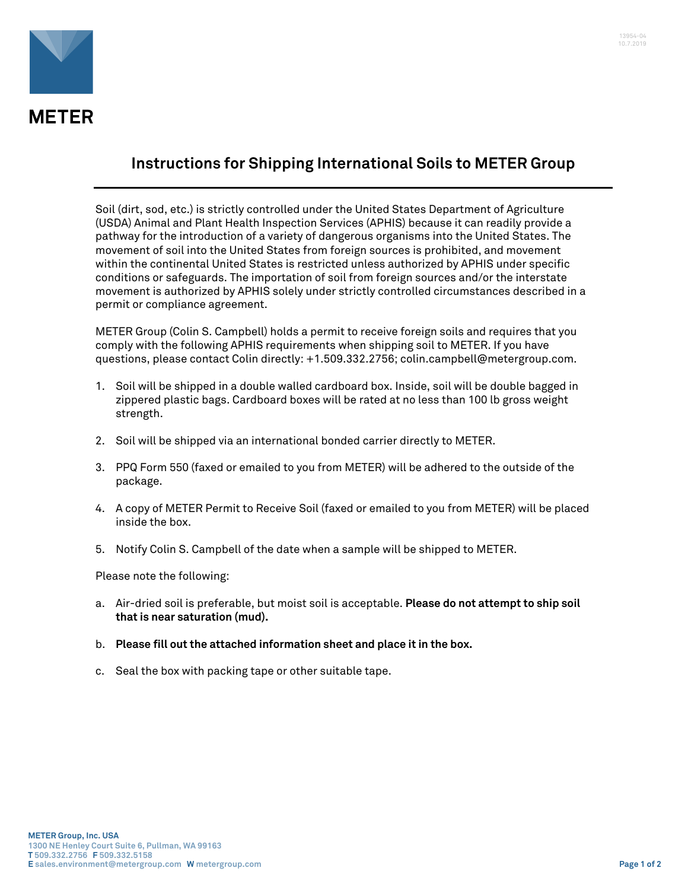

## **Instructions for Shipping International Soils to METER Group**

Soil (dirt, sod, etc.) is strictly controlled under the United States Department of Agriculture (USDA) Animal and Plant Health Inspection Services (APHIS) because it can readily provide a pathway for the introduction of a variety of dangerous organisms into the United States. The movement of soil into the United States from foreign sources is prohibited, and movement within the continental United States is restricted unless authorized by APHIS under specific conditions or safeguards. The importation of soil from foreign sources and/or the interstate movement is authorized by APHIS solely under strictly controlled circumstances described in a permit or compliance agreement.

METER Group (Colin S. Campbell) holds a permit to receive foreign soils and requires that you comply with the following APHIS requirements when shipping soil to METER. If you have questions, please contact Colin directly: +1.509.332.2756; colin.campbell@metergroup.com.

- 1. Soil will be shipped in a double walled cardboard box. Inside, soil will be double bagged in zippered plastic bags. Cardboard boxes will be rated at no less than 100 lb gross weight strength.
- 2. Soil will be shipped via an international bonded carrier directly to METER.
- 3. PPQ Form 550 (faxed or emailed to you from METER) will be adhered to the outside of the package.
- 4. A copy of METER Permit to Receive Soil (faxed or emailed to you from METER) will be placed inside the box.
- 5. Notify Colin S. Campbell of the date when a sample will be shipped to METER.

Please note the following:

- a. Air-dried soil is preferable, but moist soil is acceptable. **Please do not attempt to ship soil that is near saturation (mud).**
- b. **Please fill out the attached information sheet and place it in the box.**
- c. Seal the box with packing tape or other suitable tape.